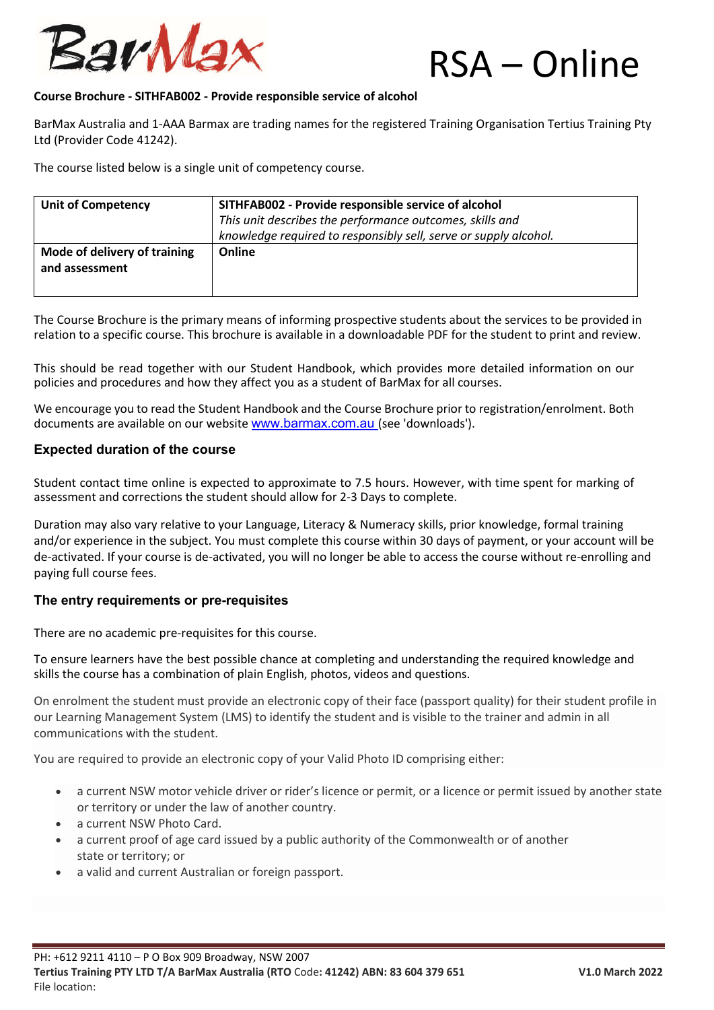

#### **Course Brochure - SITHFAB002 - Provide responsible service of alcohol**

BarMax Australia and 1-AAA Barmax are trading names for the registered Training Organisation Tertius Training Pty Ltd (Provider Code 41242).

The course listed below is a single unit of competency course.

| <b>Unit of Competency</b>                      | SITHFAB002 - Provide responsible service of alcohol<br>This unit describes the performance outcomes, skills and<br>knowledge required to responsibly sell, serve or supply alcohol. |
|------------------------------------------------|-------------------------------------------------------------------------------------------------------------------------------------------------------------------------------------|
| Mode of delivery of training<br>and assessment | Online                                                                                                                                                                              |

The Course Brochure is the primary means of informing prospective students about the services to be provided in relation to a specific course. This brochure is available in a downloadable PDF for the student to print and review.

This should be read together with our Student Handbook, which provides more detailed information on our policies and procedures and how they affect you as a student of BarMax for all courses.

We encourage you to read the Student Handbook and the Course Brochure prior to registration/enrolment. Both documents are available on our website www.barmax.com.au (see 'downloads').

### **Expected duration of the course**

Student contact time online is expected to approximate to 7.5 hours. However, with time spent for marking of assessment and corrections the student should allow for 2-3 Days to complete.

Duration may also vary relative to your Language, Literacy & Numeracy skills, prior knowledge, formal training and/or experience in the subject. You must complete this course within 30 days of payment, or your account will be de-activated. If your course is de-activated, you will no longer be able to access the course without re-enrolling and paying full course fees.

### **The entry requirements or pre-requisites**

There are no academic pre-requisites for this course.

To ensure learners have the best possible chance at completing and understanding the required knowledge and skills the course has a combination of plain English, photos, videos and questions.

On enrolment the student must provide an electronic copy of their face (passport quality) for their student profile in our Learning Management System (LMS) to identify the student and is visible to the trainer and admin in all communications with the student.

You are required to provide an electronic copy of your Valid Photo ID comprising either:

- a current NSW motor vehicle driver or rider's licence or permit, or a licence or permit issued by another state or territory or under the law of another country.
- a current NSW Photo Card.
- a current proof of age card issued by a public authority of the Commonwealth or of another state or territory; or
- a valid and current Australian or foreign passport.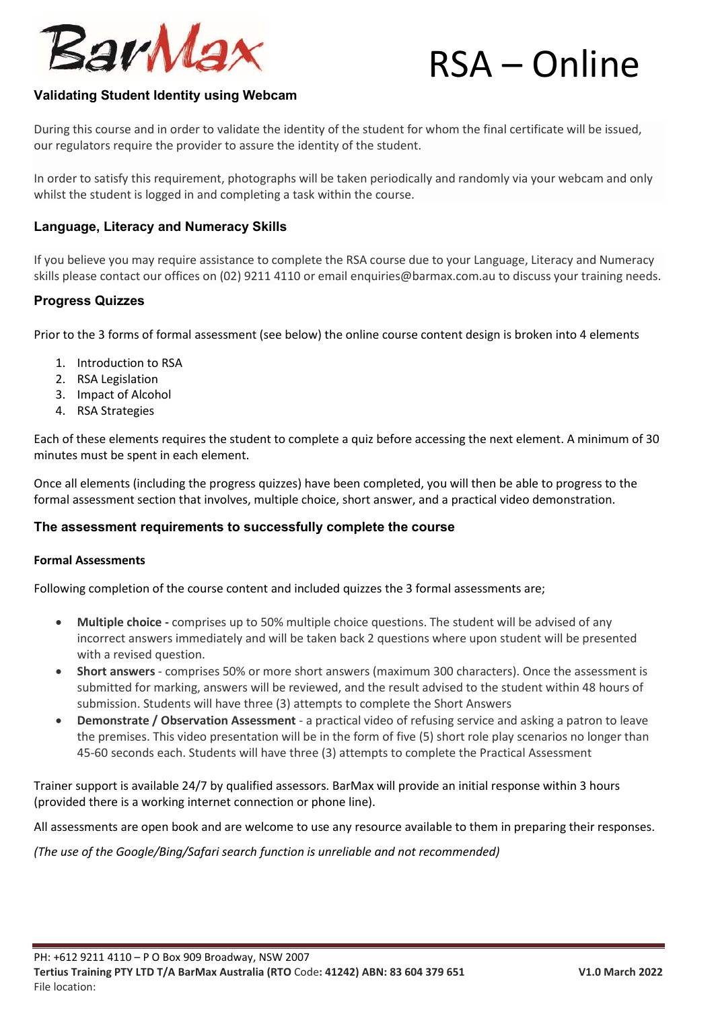

# **Validating Student Identity using Webcam**

During this course and in order to validate the identity of the student for whom the final certificate will be issued, our regulators require the provider to assure the identity of the student.

In order to satisfy this requirement, photographs will be taken periodically and randomly via your webcam and only whilst the student is logged in and completing a task within the course.

# **Language, Literacy and Numeracy Skills**

If you believe you may require assistance to complete the RSA course due to your Language, Literacy and Numeracy skills please contact our offices on (02) 9211 4110 or email enquiries@barmax.com.au to discuss your training needs.

### **Progress Quizzes**

Prior to the 3 forms of formal assessment (see below) the online course content design is broken into 4 elements

- 1. Introduction to RSA
- 2. RSA Legislation
- 3. Impact of Alcohol
- 4. RSA Strategies

Each of these elements requires the student to complete a quiz before accessing the next element. A minimum of 30 minutes must be spent in each element.

Once all elements (including the progress quizzes) have been completed, you will then be able to progress to the formal assessment section that involves, multiple choice, short answer, and a practical video demonstration.

### **The assessment requirements to successfully complete the course**

### **Formal Assessments**

Following completion of the course content and included quizzes the 3 formal assessments are;

- **Multiple choice -** comprises up to 50% multiple choice questions. The student will be advised of any incorrect answers immediately and will be taken back 2 questions where upon student will be presented with a revised question.
- **Short answers** comprises 50% or more short answers (maximum 300 characters). Once the assessment is submitted for marking, answers will be reviewed, and the result advised to the student within 48 hours of submission. Students will have three (3) attempts to complete the Short Answers
- **Demonstrate / Observation Assessment** a practical video of refusing service and asking a patron to leave the premises. This video presentation will be in the form of five (5) short role play scenarios no longer than 45-60 seconds each. Students will have three (3) attempts to complete the Practical Assessment

Trainer support is available 24/7 by qualified assessors. BarMax will provide an initial response within 3 hours (provided there is a working internet connection or phone line).

All assessments are open book and are welcome to use any resource available to them in preparing their responses.

*(The use of the Google/Bing/Safari search function is unreliable and not recommended)*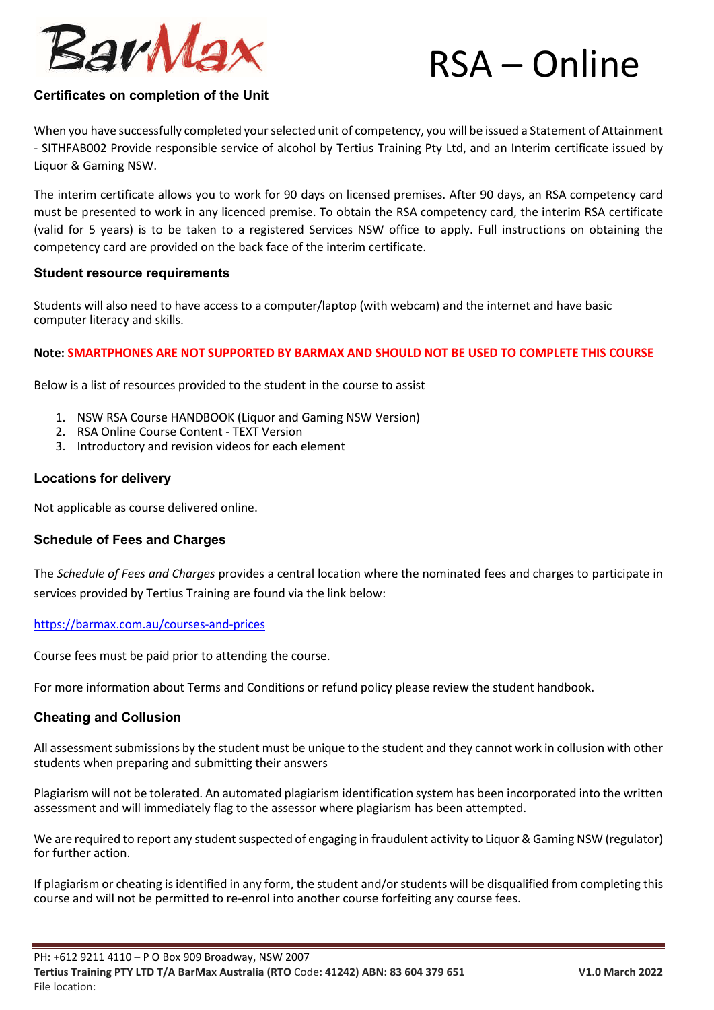

# **Certificates on completion of the Unit**

When you have successfully completed your selected unit of competency, you will be issued a Statement of Attainment - SITHFAB002 Provide responsible service of alcohol by Tertius Training Pty Ltd, and an Interim certificate issued by Liquor & Gaming NSW.

The interim certificate allows you to work for 90 days on licensed premises. After 90 days, an RSA competency card must be presented to work in any licenced premise. To obtain the RSA competency card, the interim RSA certificate (valid for 5 years) is to be taken to a registered Services NSW office to apply. Full instructions on obtaining the competency card are provided on the back face of the interim certificate.

### **Student resource requirements**

Students will also need to have access to a computer/laptop (with webcam) and the internet and have basic computer literacy and skills.

### **Note: SMARTPHONES ARE NOT SUPPORTED BY BARMAX AND SHOULD NOT BE USED TO COMPLETE THIS COURSE**

Below is a list of resources provided to the student in the course to assist

- 1. NSW RSA Course HANDBOOK (Liquor and Gaming NSW Version)
- 2. RSA Online Course Content TEXT Version
- 3. Introductory and revision videos for each element

# **Locations for delivery**

Not applicable as course delivered online.

# **Schedule of Fees and Charges**

The *Schedule of Fees and Charges* provides a central location where the nominated fees and charges to participate in services provided by Tertius Training are found via the link below:

### https://barmax.com.au/courses-and-prices

Course fees must be paid prior to attending the course.

For more information about Terms and Conditions or refund policy please review the student handbook.

# **Cheating and Collusion**

All assessment submissions by the student must be unique to the student and they cannot work in collusion with other students when preparing and submitting their answers

Plagiarism will not be tolerated. An automated plagiarism identification system has been incorporated into the written assessment and will immediately flag to the assessor where plagiarism has been attempted.

We are required to report any student suspected of engaging in fraudulent activity to Liquor & Gaming NSW (regulator) for further action.

If plagiarism or cheating is identified in any form, the student and/or students will be disqualified from completing this course and will not be permitted to re-enrol into another course forfeiting any course fees.